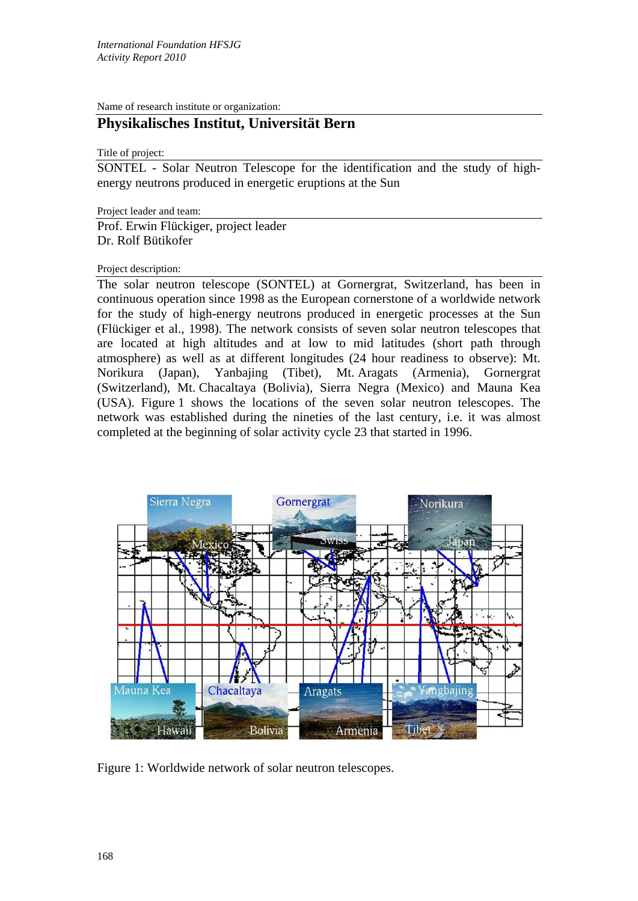Name of research institute or organization:

## **Physikalisches Institut, Universität Bern**

Title of project:

SONTEL - Solar Neutron Telescope for the identification and the study of highenergy neutrons produced in energetic eruptions at the Sun

Project leader and team:

Prof. Erwin Flückiger, project leader Dr. Rolf Bütikofer

## Project description:

The solar neutron telescope (SONTEL) at Gornergrat, Switzerland, has been in continuous operation since 1998 as the European cornerstone of a worldwide network for the study of high-energy neutrons produced in energetic processes at the Sun (Flückiger et al., 1998). The network consists of seven solar neutron telescopes that are located at high altitudes and at low to mid latitudes (short path through atmosphere) as well as at different longitudes (24 hour readiness to observe): Mt. Norikura (Japan), Yanbajing (Tibet), Mt. Aragats (Armenia), Gornergrat (Switzerland), Mt. Chacaltaya (Bolivia), Sierra Negra (Mexico) and Mauna Kea (USA). Figure 1 shows the locations of the seven solar neutron telescopes. The network was established during the nineties of the last century, i.e. it was almost completed at the beginning of solar activity cycle 23 that started in 1996.



Figure 1: Worldwide network of solar neutron telescopes.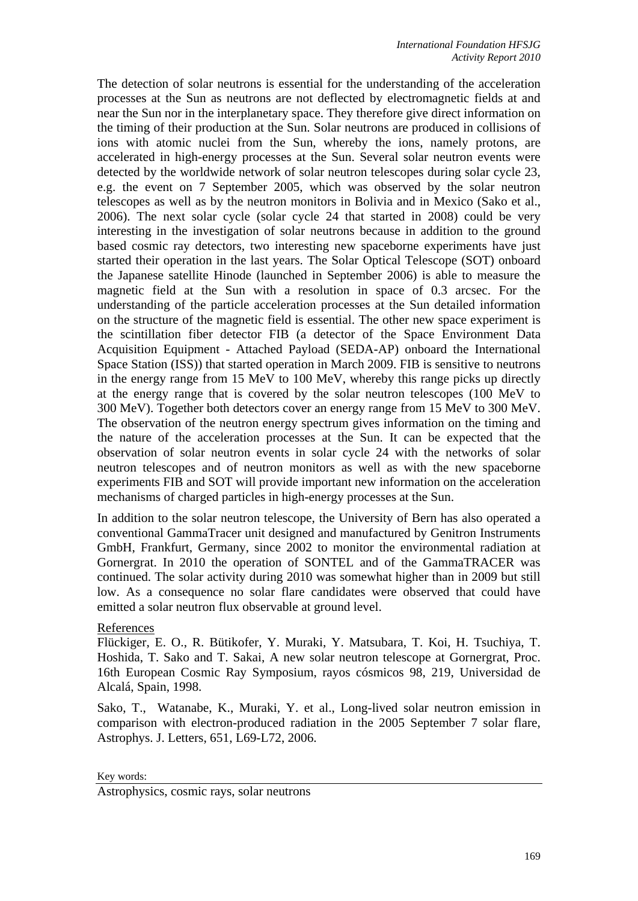The detection of solar neutrons is essential for the understanding of the acceleration processes at the Sun as neutrons are not deflected by electromagnetic fields at and near the Sun nor in the interplanetary space. They therefore give direct information on the timing of their production at the Sun. Solar neutrons are produced in collisions of ions with atomic nuclei from the Sun, whereby the ions, namely protons, are accelerated in high-energy processes at the Sun. Several solar neutron events were detected by the worldwide network of solar neutron telescopes during solar cycle 23, e.g. the event on 7 September 2005, which was observed by the solar neutron telescopes as well as by the neutron monitors in Bolivia and in Mexico (Sako et al., 2006). The next solar cycle (solar cycle 24 that started in 2008) could be very interesting in the investigation of solar neutrons because in addition to the ground based cosmic ray detectors, two interesting new spaceborne experiments have just started their operation in the last years. The Solar Optical Telescope (SOT) onboard the Japanese satellite Hinode (launched in September 2006) is able to measure the magnetic field at the Sun with a resolution in space of 0.3 arcsec. For the understanding of the particle acceleration processes at the Sun detailed information on the structure of the magnetic field is essential. The other new space experiment is the scintillation fiber detector FIB (a detector of the Space Environment Data Acquisition Equipment - Attached Payload (SEDA-AP) onboard the International Space Station (ISS)) that started operation in March 2009. FIB is sensitive to neutrons in the energy range from 15 MeV to 100 MeV, whereby this range picks up directly at the energy range that is covered by the solar neutron telescopes (100 MeV to 300 MeV). Together both detectors cover an energy range from 15 MeV to 300 MeV. The observation of the neutron energy spectrum gives information on the timing and the nature of the acceleration processes at the Sun. It can be expected that the observation of solar neutron events in solar cycle 24 with the networks of solar neutron telescopes and of neutron monitors as well as with the new spaceborne experiments FIB and SOT will provide important new information on the acceleration mechanisms of charged particles in high-energy processes at the Sun.

In addition to the solar neutron telescope, the University of Bern has also operated a conventional GammaTracer unit designed and manufactured by Genitron Instruments GmbH, Frankfurt, Germany, since 2002 to monitor the environmental radiation at Gornergrat. In 2010 the operation of SONTEL and of the GammaTRACER was continued. The solar activity during 2010 was somewhat higher than in 2009 but still low. As a consequence no solar flare candidates were observed that could have emitted a solar neutron flux observable at ground level.

## References

Flückiger, E. O., R. Bütikofer, Y. Muraki, Y. Matsubara, T. Koi, H. Tsuchiya, T. Hoshida, T. Sako and T. Sakai, A new solar neutron telescope at Gornergrat, Proc. 16th European Cosmic Ray Symposium, rayos cósmicos 98, 219, Universidad de Alcalá, Spain, 1998.

Sako, T., Watanabe, K., Muraki, Y. et al., Long-lived solar neutron emission in comparison with electron-produced radiation in the 2005 September 7 solar flare, Astrophys. J. Letters, 651, L69-L72, 2006.

Key words:

Astrophysics, cosmic rays, solar neutrons